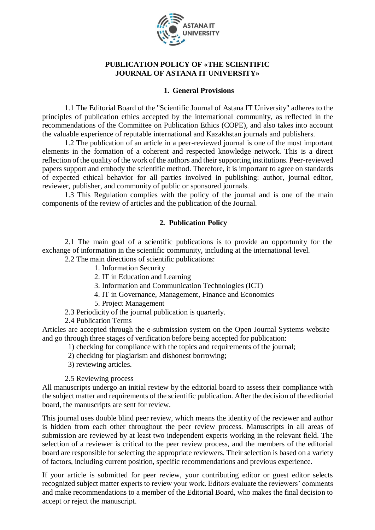

### **PUBLICATION POLICY OF «THE SCIENTIFIC JOURNAL OF ASTANA IT UNIVERSITY»**

#### **1. General Provisions**

1.1 The Editorial Board of the "Scientific Journal of Astana IT University" adheres to the principles of publication ethics accepted by the international community, as reflected in the recommendations of the Committee on Publication Ethics (COPE), and also takes into account the valuable experience of reputable international and Kazakhstan journals and publishers.

1.2 The publication of an article in a peer-reviewed journal is one of the most important elements in the formation of a coherent and respected knowledge network. This is a direct reflection of the quality of the work of the authors and their supporting institutions. Peer-reviewed papers support and embody the scientific method. Therefore, it is important to agree on standards of expected ethical behavior for all parties involved in publishing: author, journal editor, reviewer, publisher, and community of public or sponsored journals.

1.3 This Regulation complies with the policy of the journal and is one of the main components of the review of articles and the publication of the Journal.

#### **2. Publication Policy**

2.1 The main goal of a scientific publications is to provide an opportunity for the exchange of information in the scientific community, including at the international level.

2.2 The main directions of scientific publications:

- 1. Information Security
- 2. IT in Education and Learning
- 3. Information and Communication Technologies (ICT)
- 4. IT in Governance, Management, Finance and Economics
- 5. Project Management
- 2.3 Periodicity of the journal publication is quarterly.
- 2.4 Publication Terms

Articles are accepted through the e-submission system on the [Open Journal Systems](http://ojs.astanait.edu.kz/index.php/sjaitu) website and go through three stages of verification before being accepted for publication:

- 1) checking for compliance with the topics and requirements of the journal;
- 2) checking for plagiarism and dishonest borrowing;
- 3) reviewing articles.

2.5 Reviewing process

All manuscripts undergo an initial review by the editorial board to assess their compliance with the subject matter and requirements of the scientific publication. After the decision of the editorial board, the manuscripts are sent for review.

This journal uses double blind peer review, which means the identity of the reviewer and author is hidden from each other throughout the peer review process. Manuscripts in all areas of submission are reviewed by at least two independent experts working in the relevant field. The selection of a reviewer is critical to the peer review process, and the members of the editorial board are responsible for selecting the appropriate reviewers. Their selection is based on a variety of factors, including current position, specific recommendations and previous experience.

If your article is submitted for peer review, your contributing editor or guest editor selects recognized subject matter experts to review your work. Editors evaluate the reviewers' comments and make recommendations to a member of the Editorial Board, who makes the final decision to accept or reject the manuscript.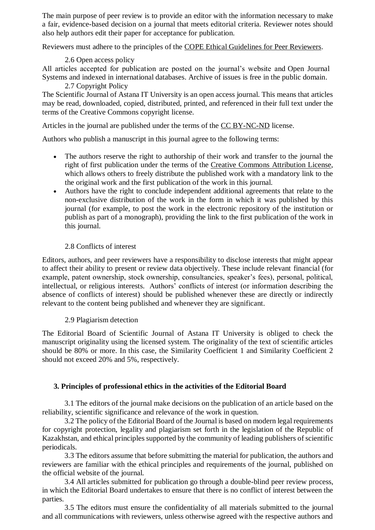The main purpose of peer review is to provide an editor with the information necessary to make a fair, evidence-based decision on a journal that meets editorial criteria. Reviewer notes should also help authors edit their paper for acceptance for publication.

Reviewers must adhere to the principles of the [COPE Ethical Guidelines for Peer Reviewers.](https://publicationethics.org/files/Peer%20review%20guidelines.pdf)

## 2.6 Open access policy

All articles accepted for publication are posted on the journal's website and [Open Journal](http://ojs.astanait.edu.kz/index.php/sjaitu/index)  [Systems](http://ojs.astanait.edu.kz/index.php/sjaitu/index) and indexed in [international databases.](https://sj.astanait.edu.kz/indexing-of-scientific-publication/) Archive of issues is free in the public domain.

## 2.7 Copyright Policy

The Scientific Journal of Astana IT University is an open access journal. This means that articles may be read, downloaded, copied, distributed, printed, and referenced in their full text under the terms of the Creative Commons copyright license.

Articles in the journal are published under the terms of the [CC BY-NC-ND](https://creativecommons.org/licenses/by-nc-nd/3.0/deed.ru) license.

Authors who publish a manuscript in this journal agree to the following terms:

- The authors reserve the right to authorship of their work and transfer to the journal the right of first publication under the terms of the [Creative Commons Attribution License,](https://creativecommons.org/licenses/by-nc-nd/3.0/deed.ru) which allows others to freely distribute the published work with a mandatory link to the the original work and the first publication of the work in this journal.
- Authors have the right to conclude independent additional agreements that relate to the non-exclusive distribution of the work in the form in which it was published by this journal (for example, to post the work in the electronic repository of the institution or publish as part of a monograph), providing the link to the first publication of the work in this journal.

# 2.8 Conflicts of interest

Editors, authors, and peer reviewers have a responsibility to disclose interests that might appear to affect their ability to present or review data objectively. These include relevant financial (for example, patent ownership, stock ownership, consultancies, speaker's fees), personal, political, intellectual, or religious interests. Authors' conflicts of interest (or information describing the absence of conflicts of interest) should be published whenever these are directly or indirectly relevant to the content being published and whenever they are significant.

## 2.9 Plagiarism detection

The Editorial Board of Scientific Journal of Astana IT University is obliged to check the manuscript originality using the licensed system. The originality of the text of scientific articles should be 80% or more. In this case, the Similarity Coefficient 1 and Similarity Coefficient 2 should not exceed 20% and 5%, respectively.

## **3. Principles of professional ethics in the activities of the Editorial Board**

3.1 The editors of the journal make decisions on the publication of an article based on the reliability, scientific significance and relevance of the work in question.

3.2 The policy of the Editorial Board of the Journal is based on modern legal requirements for copyright protection, legality and plagiarism set forth in the legislation of the Republic of Kazakhstan, and ethical principles supported by the community of leading publishers of scientific periodicals.

3.3 The editors assume that before submitting the material for publication, the authors and reviewers are familiar with the ethical principles and requirements of the journal, published on the official website of the journal.

3.4 All articles submitted for publication go through a double-blind peer review process, in which the Editorial Board undertakes to ensure that there is no conflict of interest between the parties.

3.5 The editors must ensure the confidentiality of all materials submitted to the journal and all communications with reviewers, unless otherwise agreed with the respective authors and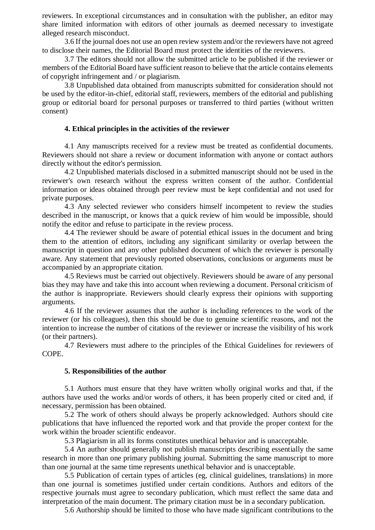reviewers. In exceptional circumstances and in consultation with the publisher, an editor may share limited information with editors of other journals as deemed necessary to investigate alleged research misconduct.

3.6 If the journal does not use an open review system and/or the reviewers have not agreed to disclose their names, the Editorial Board must protect the identities of the reviewers.

3.7 The editors should not allow the submitted article to be published if the reviewer or members of the Editorial Board have sufficient reason to believe that the article contains elements of copyright infringement and / or plagiarism.

3.8 Unpublished data obtained from manuscripts submitted for consideration should not be used by the editor-in-chief, editorial staff, reviewers, members of the editorial and publishing group or editorial board for personal purposes or transferred to third parties (without written consent)

#### **4. Ethical principles in the activities of the reviewer**

4.1 Any manuscripts received for a review must be treated as confidential documents. Reviewers should not share a review or document information with anyone or contact authors directly without the editor's permission.

4.2 Unpublished materials disclosed in a submitted manuscript should not be used in the reviewer's own research without the express written consent of the author. Confidential information or ideas obtained through peer review must be kept confidential and not used for private purposes.

4.3 Any selected reviewer who considers himself incompetent to review the studies described in the manuscript, or knows that a quick review of him would be impossible, should notify the editor and refuse to participate in the review process.

4.4 The reviewer should be aware of potential ethical issues in the document and bring them to the attention of editors, including any significant similarity or overlap between the manuscript in question and any other published document of which the reviewer is personally aware. Any statement that previously reported observations, conclusions or arguments must be accompanied by an appropriate citation.

4.5 Reviews must be carried out objectively. Reviewers should be aware of any personal bias they may have and take this into account when reviewing a document. Personal criticism of the author is inappropriate. Reviewers should clearly express their opinions with supporting arguments.

4.6 If the reviewer assumes that the author is including references to the work of the reviewer (or his colleagues), then this should be due to genuine scientific reasons, and not the intention to increase the number of citations of the reviewer or increase the visibility of his work (or their partners).

4.7 Reviewers must adhere to the principles of the [Ethical Guidelines for reviewers of](https://publicationethics.org/files/Peer%20review%20guidelines.pdf) [COPE.](https://publicationethics.org/files/Peer%20review%20guidelines.pdf)

#### **5. Responsibilities of the author**

5.1 Authors must ensure that they have written wholly original works and that, if the authors have used the works and/or words of others, it has been properly cited or cited and, if necessary, permission has been obtained.

5.2 The work of others should always be properly acknowledged. Authors should cite publications that have influenced the reported work and that provide the proper context for the work within the broader scientific endeavor.

5.3 Plagiarism in all its forms constitutes unethical behavior and is unacceptable.

5.4 An author should generally not publish manuscripts describing essentially the same research in more than one primary publishing journal. Submitting the same manuscript to more than one journal at the same time represents unethical behavior and is unacceptable.

5.5 Publication of certain types of articles (eg, clinical guidelines, translations) in more than one journal is sometimes justified under certain conditions. Authors and editors of the respective journals must agree to secondary publication, which must reflect the same data and interpretation of the main document. The primary citation must be in a secondary publication.

5.6 Authorship should be limited to those who have made significant contributions to the